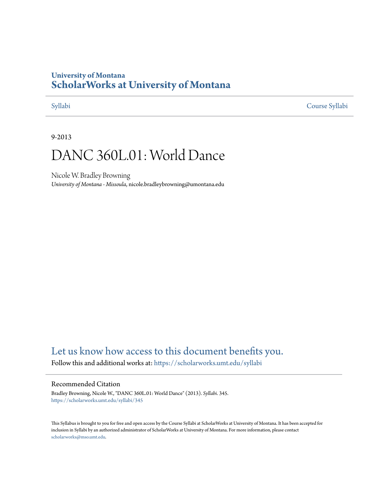## **University of Montana [ScholarWorks at University of Montana](https://scholarworks.umt.edu?utm_source=scholarworks.umt.edu%2Fsyllabi%2F345&utm_medium=PDF&utm_campaign=PDFCoverPages)**

[Syllabi](https://scholarworks.umt.edu/syllabi?utm_source=scholarworks.umt.edu%2Fsyllabi%2F345&utm_medium=PDF&utm_campaign=PDFCoverPages) [Course Syllabi](https://scholarworks.umt.edu/course_syllabi?utm_source=scholarworks.umt.edu%2Fsyllabi%2F345&utm_medium=PDF&utm_campaign=PDFCoverPages)

#### 9-2013

# DANC 360L.01: World Dance

Nicole W. Bradley Browning *University of Montana - Missoula*, nicole.bradleybrowning@umontana.edu

# [Let us know how access to this document benefits you.](https://goo.gl/forms/s2rGfXOLzz71qgsB2)

Follow this and additional works at: [https://scholarworks.umt.edu/syllabi](https://scholarworks.umt.edu/syllabi?utm_source=scholarworks.umt.edu%2Fsyllabi%2F345&utm_medium=PDF&utm_campaign=PDFCoverPages)

#### Recommended Citation

Bradley Browning, Nicole W., "DANC 360L.01: World Dance" (2013). *Syllabi*. 345. [https://scholarworks.umt.edu/syllabi/345](https://scholarworks.umt.edu/syllabi/345?utm_source=scholarworks.umt.edu%2Fsyllabi%2F345&utm_medium=PDF&utm_campaign=PDFCoverPages)

This Syllabus is brought to you for free and open access by the Course Syllabi at ScholarWorks at University of Montana. It has been accepted for inclusion in Syllabi by an authorized administrator of ScholarWorks at University of Montana. For more information, please contact [scholarworks@mso.umt.edu](mailto:scholarworks@mso.umt.edu).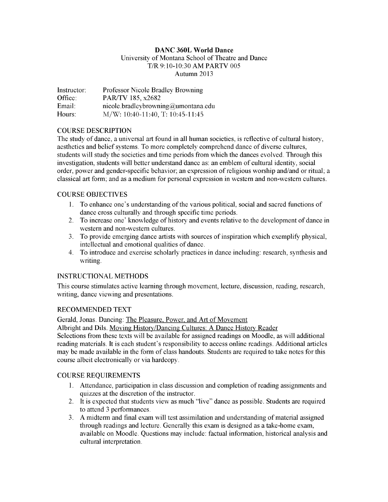#### **DANC 360L World Dance**

### University of Montana School of Theatre and Dance T/R 9:10-10:30 AM PARTV 005 Autumn 2013

Instructor: Professor Nicole Bradley Browning Office: PAR/TV 185, x2682 Email: nicole .bradleybrowning@umontana.edu Hours: M/W: 10:40-11:40, T: 10:45-11:45

#### COURSE DESCRIPTION

The study of dance, a universal art found in all human societies, is reflective of cultural history, aesthetics and belief systems. To more completely comprehend dance of diverse cultures, students will study the societies and time periods from which the dances evolved. Through this investigation, students will better understand dance as: an emblem of cultural identity, social order, power and gender-specific behavior; an expression of religious worship and/and or ritual; a classical art form; and as a medium for personal expression in western and non-westem cultures.

#### COURSE OBJECTIVES

- 1. To enhance one's understanding of the various political, social and sacred functions of dance cross culturally and through specific time periods.
- 2. To increase one' knowledge of history and events relative to the development of dance in western and non-westem cultures.
- 3. To provide emerging dance artists with sources of inspiration which exemplify physical, intellectual and emotional qualities of dance.
- 4. To introduce and exercise scholarly practices in dance including: research, synthesis and writing.

#### INSTRUCTIONAL METHODS

This course stimulates active learning through movement, lecture, discussion, reading, research, writing, dance viewing and presentations.

#### RECOMMENDED TEXT

Gerald, Jonas. Dancing: The Pleasure. Power, and Art of Movement

Albright and Dils. Moving History/Dancing Cultures: A Dance History Reader

Selections from these texts will be available for assigned readings on Moodle, as will additional reading materials. It is each student's responsibility to access online readings. Additional articles may be made available in the form of class handouts. Students are required to take notes for this course albeit electronically or via hardcopy.

#### COURSE REQUIREMENTS

- 1. Attendance, participation in class discussion and completion of reading assignments and quizzes at the discretion of the instructor.
- 2. It is expected that students view as much "live" dance as possible. Students are required to attend 3 performances.
- 3. A midterm and final exam will test assimilation and understanding of material assigned through readings and lecture. Generally this exam is designed as a take-home exam, available on Moodle. Questions may include: factual information, historical analysis and cultural interpretation.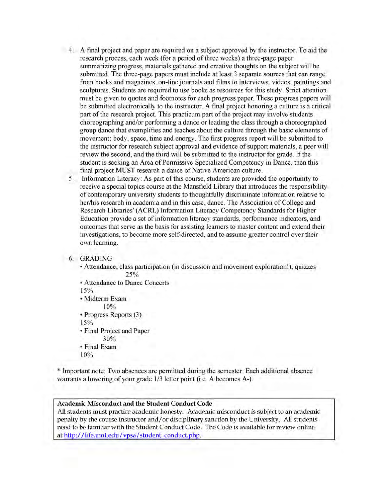- 4. A final project and paper are required on a subject approved by the instructor. To aid the research process, each week (for a period of three weeks) a three-page paper summarizing progress, materials gathered and creative thoughts on the subject will be submitted. The three-page papers must include at least 3 separate sources that can range from books and magazines, on-line journals and films to interviews, videos, paintings and sculptures. Students are required to use books as resources for this study. Strict attention must be given to quotes and footnotes for each progress paper. These progress papers will be submitted electronically to the instructor. A final project honoring a culture is a critical part of the research project. This practicum part of the project may involve students choreographing and/or performing a dance or leading the class through a choreographed group dance that exemplifies and teaches about the culture through the basic elements of movement: body, space, time and energy. The first progress report will be submitted to the instructor for research subject approval and evidence of support materials, a peer will review the second, and the third will be submitted to the instructor for grade. If the student is seeking an Area of Permissive Specialized Competency in Dance, then this final project MUST research a dance of Native American culture.
	- 5. Information Literacy: As part of this course, students are provided the opportunity to receive a special topics course at the Mansfield Library that introduces the responsibility of contemporary university students to thoughtfully discriminate information relative to her/his research in academia and in this case, dance. The Association of College and Research Libraries' (ACRL) Information Literacy Competency Standards for Higher Education provide a set of information literacy standards, performance indicators, and outcomes that serve as the basis for assisting learners to master content and extend their investigations, to become more self-directed, and to assume greater control over their own learning.

#### 6. GRADING

• Attendance, class participation (in discussion and movement exploration!), quizzes 25%

• Attendance to Dance Concerts

15%

• Midterm Exam

10%

• Progress Reports (3)

15%

• Final Project and Paper

30%

• Final Exam

10%

\* Important note: Two absences are permitted during the semester. Each additional absence warrants a lowering of your grade 1/3 letter point (i.e. A becomes A-).

#### **Academic Misconduct and the Student Conduct Code**

All students must practice academic honesty. Academic misconduct is subject to an academic penalty by the course instructor and/or disciplinary sanction by the University. All students need to be familiar with the Student Conduct Code. The Code is available for review online at http://life.um t.edu/vpsa/student conduct.php.